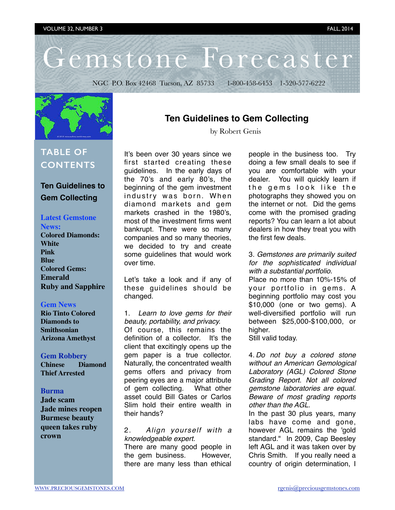# Gemstone Forecaster

NGC P.O. Box 42468 Tucson, AZ 85733 1-800-458-6453 1-520-577-6222



## **TABLE OF CONTENTS**

## **Ten Guidelines to Gem Collecting**

## **Latest Gemstone**

- **News:**
- **Colored Diamonds: White Pink Blue Colored Gems: Emerald Ruby and Sapphire**

#### **Gem News**

**Rio Tinto Colored Diamonds to Smithsonian Arizona Amethyst**

#### **[Gem Robbery](http://www.preciousgemstones.com/gfspring14.html#9)**

**[Chinese Diamond](http://www.preciousgemstones.com/gfspring14.html#9) [Thief Arrested](http://www.preciousgemstones.com/gfspring14.html#9)**

#### **Burma**

**Jade scam Jade mines reopen Burmese beauty queen takes ruby crown**

## **Ten Guidelines to Gem Collecting**

by Robert Genis

It's been over 30 years since we first started creating these guidelines. In the early days of the 70's and early 80's, the beginning of the gem investment industry was born. When diamond markets and gem markets crashed in the 1980's, most of the investment firms went bankrupt. There were so many companies and so many theories, we decided to try and create some guidelines that would work over time.

Let's take a look and if any of these guidelines should be changed.

#### 1. *Learn to love gems for their beauty, portability, and privacy.*

Of course, this remains the definition of a collector. It's the client that excitingly opens up the gem paper is a true collector. Naturally, the concentrated wealth gems offers and privacy from peering eyes are a major attribute of gem collecting. What other asset could Bill Gates or Carlos Slim hold their entire wealth in their hands?

#### 2. *Align yourself with a knowledgeable expert.*

There are many good people in the gem business. However, there are many less than ethical

people in the business too. Try doing a few small deals to see if you are comfortable with your dealer. You will quickly learn if the gems look like the photographs they showed you on the internet or not. Did the gems come with the promised grading reports? You can learn a lot about dealers in how they treat you with the first few deals.

#### 3. *Gemstones are primarily suited for the sophisticated individual with a substantial portfolio.*

Place no more than 10%-15% of your portfolio in gems. A beginning portfolio may cost you \$10,000 (one or two gems). A well-diversified portfolio will run between \$25,000-\$100,000, or higher.

Still valid today.

4. *Do not buy a colored stone without an American Gemological Laboratory (AGL) Colored Stone Grading Report. Not all colored gemstone laboratories are equal. Beware of most grading reports other than the AGL.*

In the past 30 plus years, many labs have come and gone, however AGL remains the 'gold standard." In 2009, Cap Beesley left AGL and it was taken over by Chris Smith. If you really need a country of origin determination, I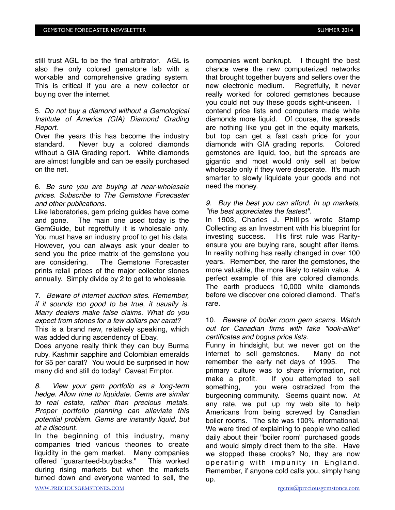still trust AGL to be the final arbitrator. AGL is also the only colored gemstone lab with a workable and comprehensive grading system. This is critical if you are a new collector or buying over the internet.

#### 5. *Do not buy a diamond without a Gemological Institute of America (GIA) Diamond Grading Report.*

Over the years this has become the industry standard. Never buy a colored diamonds without a GIA Grading report. White diamonds are almost fungible and can be easily purchased on the net.

#### 6. *Be sure you are buying at near-wholesale prices. Subscribe to The Gemstone Forecaster and other publications.*

Like laboratories, gem pricing guides have come and gone. The main one used today is the GemGuide, but regretfully it is wholesale only. You must have an industry proof to get his data. However, you can always ask your dealer to send you the price matrix of the gemstone you are considering. The Gemstone Forecaster prints retail prices of the major collector stones annually. Simply divide by 2 to get to wholesale.

7. *Beware of internet auction sites. Remember, if it sounds too good to be true, it usually is. Many dealers make false claims. What do you expect from stones for a few dollars per carat?* This is a brand new, relatively speaking, which was added during ascendency of Ebay.

Does anyone really think they can buy Burma ruby, Kashmir sapphire and Colombian emeralds for \$5 per carat? You would be surprised in how many did and still do today! Caveat Emptor.

*8. View your gem portfolio as a long-term hedge. Allow time to liquidate. Gems are similar to real estate, rather than precious metals. Proper portfolio planning can alleviate this potential problem. Gems are instantly liquid, but at a discount.* 

In the beginning of this industry, many companies tried various theories to create liquidity in the gem market. Many companies offered "guaranteed-buybacks." This worked during rising markets but when the markets turned down and everyone wanted to sell, the

companies went bankrupt. I thought the best chance were the new computerized networks that brought together buyers and sellers over the new electronic medium. Regretfully, it never really worked for colored gemstones because you could not buy these goods sight-unseen. I contend price lists and computers made white diamonds more liquid. Of course, the spreads are nothing like you get in the equity markets, but top can get a fast cash price for your diamonds with GIA grading reports. Colored gemstones are liquid, too, but the spreads are gigantic and most would only sell at below wholesale only if they were desperate. It's much smarter to slowly liquidate your goods and not need the money.

#### *9. Buy the best you can afford. In up markets, "the best appreciates the fastest".*

In 1903, Charles J. Phillips wrote Stamp Collecting as an Investment with his blueprint for investing success. His first rule was Rarityensure you are buying rare, sought after items. In reality nothing has really changed in over 100 years. Remember, the rarer the gemstones, the more valuable, the more likely to retain value. A perfect example of this are colored diamonds. The earth produces 10,000 white diamonds before we discover one colored diamond. That's rare.

#### 10. *Beware of boiler room gem scams. Watch out for Canadian firms with fake "look-alike" certificates and bogus price lists.*

Funny in hindsight, but we never got on the internet to sell gemstones. Many do not remember the early net days of 1995. The primary culture was to share information, not make a profit. If you attempted to sell something, you were ostracized from the burgeoning community. Seems quaint now. At any rate, we put up my web site to help Americans from being screwed by Canadian boiler rooms. The site was 100% informational. We were tired of explaining to people who called daily about their "boiler room" purchased goods and would simply direct them to the site. Have we stopped these crooks? No, they are now operating with impunity in England. Remember, if anyone cold calls you, simply hang up.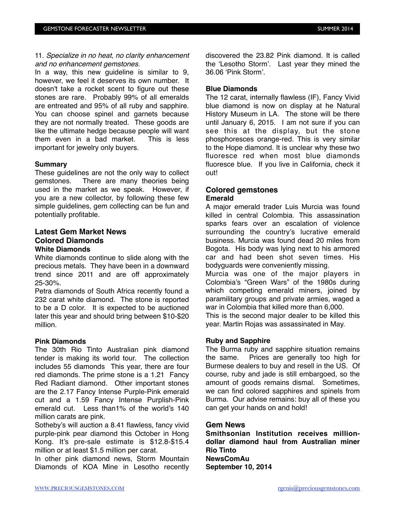#### 11. *Specialize in no heat, no clarity enhancement and no enhancement gemstones.*

In a way, this new guideline is similar to 9, however, we feel it deserves its own number. It doesn't take a rocket scent to figure out these stones are rare. Probably 99% of all emeralds are entreated and 95% of all ruby and sapphire. You can choose spinel and garnets because they are not normally treated. These goods are like the ultimate hedge because people will want them even in a bad market. This is less important for jewelry only buyers.

#### **Summary**

These guidelines are not the only way to collect gemstones. There are many theories being used in the market as we speak. However, if you are a new collector, by following these few simple guidelines, gem collecting can be fun and potentially profitable.

#### **Latest Gem Market News Colored Diamonds White Diamonds**

White diamonds continue to slide along with the precious metals. They have been in a downward trend since 2011 and are off approximately 25-30%.

Petra diamonds of South Africa recently found a 232 carat white diamond. The stone is reported to be a D color. It is expected to be auctioned later this year and should bring between \$10-\$20 million.

#### **Pink Diamonds**

The 30th Rio Tinto Australian pink diamond tender is making its world tour. The collection includes 55 diamonds This year, there are four red diamonds. The prime stone is a 1.21 Fancy Red Radiant diamond. Other important stones are the 2.17 Fancy Intense Purple-Pink emerald cut and a 1.59 Fancy Intense Purplish-Pink emerald cut. Less than1% of the world's 140 million carats are pink.

Sotheby's will auction a 8.41 flawless, fancy vivid purple-pink pear diamond this October in Hong Kong. It's pre-sale estimate is \$12.8-\$15.4 million or at least \$1.5 million per carat.

In other pink diamond news, Storm Mountain Diamonds of KOA Mine in Lesotho recently discovered the 23.82 Pink diamond. It is called the 'Lesotho Storm'. Last year they mined the 36.06 'Pink Storm'.

#### **Blue Diamonds**

The 12 carat, internally flawless (IF), Fancy Vivid blue diamond is now on display at he Natural History Museum in LA. The stone will be there until January 6, 2015. I am not sure if you can see this at the display, but the stone phosphoresces orange-red. This is very similar to the Hope diamond. It is unclear why these two fluoresce red when most blue diamonds fluoresce blue. If you live in California, check it out!

#### **Colored gemstones Emerald**

A major emerald trader Luis Murcia was found killed in central Colombia. This assassination sparks fears over an escalation of violence surrounding the country's lucrative emerald business. Murcia was found dead 20 miles from Bogota. His body was lying next to his armored car and had been shot seven times. His bodyguards were conveniently missing.

Murcia was one of the major players in Colombia's "Green Wars" of the 1980s during which competing emerald miners, joined by paramilitary groups and private armies, waged a war in Colombia that killed more than 6,000.

This is the second major dealer to be killed this year. Martin Rojas was assassinated in May.

#### **Ruby and Sapphire**

The Burma ruby and sapphire situation remains the same. Prices are generally too high for Burmese dealers to buy and resell in the US. Of course, ruby and jade is still embargoed, so the amount of goods remains dismal. Sometimes, we can find colored sapphires and spinels from Burma. Our advise remains: buy all of these you can get your hands on and hold!

#### **Gem News**

**Smithsonian Institution receives milliondollar diamond haul from Australian miner Rio Tinto NewsComAu September 10, 2014**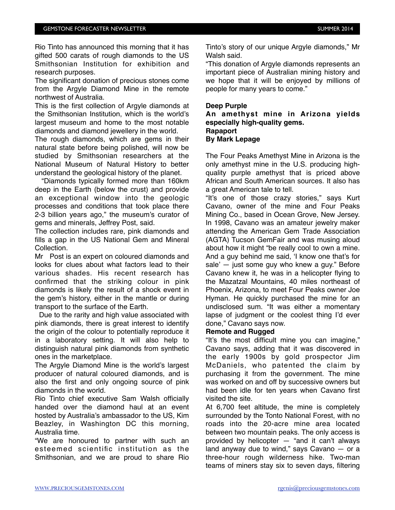Rio Tinto has announced this morning that it has gifted 500 carats of rough diamonds to the US Smithsonian Institution for exhibition and research purposes.

The significant donation of precious stones come from the Argyle Diamond Mine in the remote northwest of Australia.

This is the first collection of Argyle diamonds at the Smithsonian Institution, which is the world's largest museum and home to the most notable diamonds and diamond jewellery in the world.

The rough diamonds, which are gems in their natural state before being polished, will now be studied by Smithsonian researchers at the National Museum of Natural History to better understand the geological history of the planet.

 "Diamonds typically formed more than 160km deep in the Earth (below the crust) and provide an exceptional window into the geologic processes and conditions that took place there 2-3 billion years ago," the museum's curator of gems and minerals, Jeffrey Post, said.

The collection includes rare, pink diamonds and fills a gap in the US National Gem and Mineral Collection.

Mr Post is an expert on coloured diamonds and looks for clues about what factors lead to their various shades. His recent research has confirmed that the striking colour in pink diamonds is likely the result of a shock event in the gem's history, either in the mantle or during transport to the surface of the Earth.

Due to the rarity and high value associated with pink diamonds, there is great interest to identify the origin of the colour to potentially reproduce it in a laboratory setting. It will also help to distinguish natural pink diamonds from synthetic ones in the marketplace.

The Argyle Diamond Mine is the world's largest producer of natural coloured diamonds, and is also the first and only ongoing source of pink diamonds in the world.

Rio Tinto chief executive Sam Walsh officially handed over the diamond haul at an event hosted by Australia's ambassador to the US, Kim Beazley, in Washington DC this morning, Australia time.

"We are honoured to partner with such an esteemed scientific institution as the Smithsonian, and we are proud to share Rio Tinto's story of our unique Argyle diamonds," Mr Walsh said.

"This donation of Argyle diamonds represents an important piece of Australian mining history and we hope that it will be enjoyed by millions of people for many years to come."

#### **Deep Purple**

**An amethyst mine in Arizona yields especially high-quality gems. Rapaport By Mark Lepage**

The Four Peaks Amethyst Mine in Arizona is the only amethyst mine in the U.S. producing highquality purple amethyst that is priced above African and South American sources. It also has a great American tale to tell.

"It's one of those crazy stories," says Kurt Cavano, owner of the mine and Four Peaks Mining Co., based in Ocean Grove, New Jersey. In 1998, Cavano was an amateur jewelry maker attending the American Gem Trade Association (AGTA) Tucson GemFair and was musing aloud about how it might "be really cool to own a mine. And a guy behind me said, 'I know one that's for sale' — just some guy who knew a guy." Before Cavano knew it, he was in a helicopter flying to the Mazatzal Mountains, 40 miles northeast of Phoenix, Arizona, to meet Four Peaks owner Joe Hyman. He quickly purchased the mine for an undisclosed sum. "It was either a momentary lapse of judgment or the coolest thing I'd ever done," Cavano says now.

#### **Remote and Rugged**

"It's the most difficult mine you can imagine," Cavano says, adding that it was discovered in the early 1900s by gold prospector Jim McDaniels, who patented the claim by purchasing it from the government. The mine was worked on and off by successive owners but had been idle for ten years when Cavano first visited the site.

At 6,700 feet altitude, the mine is completely surrounded by the Tonto National Forest, with no roads into the 20-acre mine area located between two mountain peaks. The only access is provided by helicopter — "and it can't always land anyway due to wind," says Cavano — or a three-hour rough wilderness hike. Two-man teams of miners stay six to seven days, filtering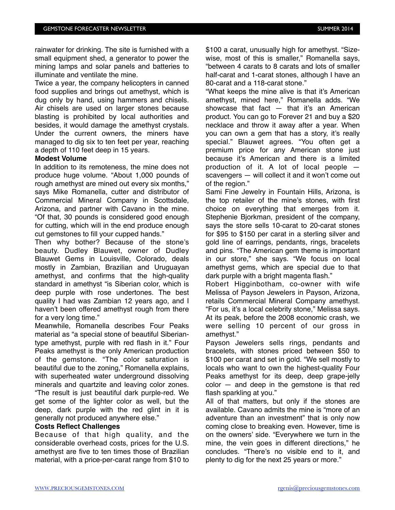rainwater for drinking. The site is furnished with a small equipment shed, a generator to power the mining lamps and solar panels and batteries to illuminate and ventilate the mine.

Twice a year, the company helicopters in canned food supplies and brings out amethyst, which is dug only by hand, using hammers and chisels. Air chisels are used on larger stones because blasting is prohibited by local authorities and besides, it would damage the amethyst crystals. Under the current owners, the miners have managed to dig six to ten feet per year, reaching a depth of 110 feet deep in 15 years.

#### **Modest Volume**

In addition to its remoteness, the mine does not produce huge volume. "About 1,000 pounds of rough amethyst are mined out every six months," says Mike Romanella, cutter and distributor of Commercial Mineral Company in Scottsdale, Arizona, and partner with Cavano in the mine. "Of that, 30 pounds is considered good enough for cutting, which will in the end produce enough cut gemstones to fill your cupped hands."

Then why bother? Because of the stone's beauty. Dudley Blauwet, owner of Dudley Blauwet Gems in Louisville, Colorado, deals mostly in Zambian, Brazilian and Uruguayan amethyst, and confirms that the high-quality standard in amethyst "is Siberian color, which is deep purple with rose undertones. The best quality I had was Zambian 12 years ago, and I haven't been offered amethyst rough from there for a very long time."

Meanwhile, Romanella describes Four Peaks material as "a special stone of beautiful Siberiantype amethyst, purple with red flash in it." Four Peaks amethyst is the only American production of the gemstone. "The color saturation is beautiful due to the zoning," Romanella explains, with superheated water underground dissolving minerals and quartzite and leaving color zones. "The result is just beautiful dark purple-red. We get some of the lighter color as well, but the deep, dark purple with the red glint in it is generally not produced anywhere else."

#### **Costs Reflect Challenges**

Because of that high quality, and the considerable overhead costs, prices for the U.S. amethyst are five to ten times those of Brazilian material, with a price-per-carat range from \$10 to

\$100 a carat, unusually high for amethyst. "Sizewise, most of this is smaller," Romanella says, "between 4 carats to 8 carats and lots of smaller half-carat and 1-carat stones, although I have an 80-carat and a 118-carat stone."

"What keeps the mine alive is that it's American amethyst, mined here," Romanella adds. "We showcase that fact  $-$  that it's an American product. You can go to Forever 21 and buy a \$20 necklace and throw it away after a year. When you can own a gem that has a story, it's really special." Blauwet agrees. "You often get a premium price for any American stone just because it's American and there is a limited production of it. A lot of local people scavengers — will collect it and it won't come out of the region."

Sami Fine Jewelry in Fountain Hills, Arizona, is the top retailer of the mine's stones, with first choice on everything that emerges from it. Stephenie Bjorkman, president of the company, says the store sells 10-carat to 20-carat stones for \$95 to \$150 per carat in a sterling silver and gold line of earrings, pendants, rings, bracelets and pins. "The American gem theme is important in our store," she says. "We focus on local amethyst gems, which are special due to that dark purple with a bright magenta flash."

Robert Higginbotham, co-owner with wife Melissa of Payson Jewelers in Payson, Arizona, retails Commercial Mineral Company amethyst. "For us, it's a local celebrity stone," Melissa says. At its peak, before the 2008 economic crash, we were selling 10 percent of our gross in amethyst."

Payson Jewelers sells rings, pendants and bracelets, with stones priced between \$50 to \$100 per carat and set in gold. "We sell mostly to locals who want to own the highest-quality Four Peaks amethyst for its deep, deep grape-jelly color — and deep in the gemstone is that red flash sparkling at you."

All of that matters, but only if the stones are available. Cavano admits the mine is "more of an adventure than an investment" that is only now coming close to breaking even. However, time is on the owners' side. "Everywhere we turn in the mine, the vein goes in different directions," he concludes. "There's no visible end to it, and plenty to dig for the next 25 years or more."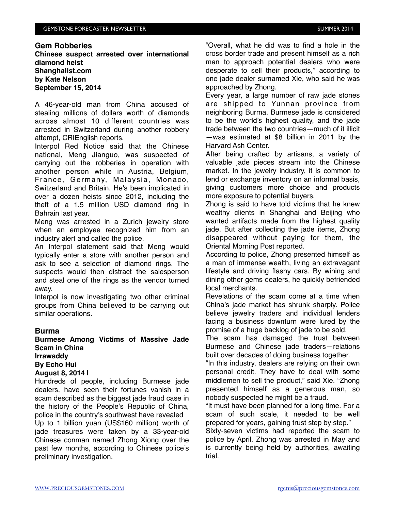#### **Gem Robberies**

**Chinese suspect arrested over international diamond heist Shanghalist.com by Kate Nelson September 15, 2014**

A 46-year-old man from China accused of stealing millions of dollars worth of diamonds across almost 10 different countries was arrested in Switzerland during another robbery attempt, CRIEnglish reports.

Interpol Red Notice said that the Chinese national, Meng Jianguo, was suspected of carrying out the robberies in operation with another person while in Austria, Belgium, France, Germany, Malaysia, Monaco, Switzerland and Britain. He's been implicated in over a dozen heists since 2012, including the theft of a 1.5 million USD diamond ring in Bahrain last year.

Meng was arrested in a Zurich jewelry store when an employee recognized him from an industry alert and called the police.

An Interpol statement said that Meng would typically enter a store with another person and ask to see a selection of diamond rings. The suspects would then distract the salesperson and steal one of the rings as the vendor turned away.

Interpol is now investigating two other criminal groups from China believed to be carrying out similar operations.

#### **Burma**

**Burmese Among Victims of Massive Jade Scam in China Irrawaddy**

**By Echo Hui** 

#### **August 8, 2014 |**

Hundreds of people, including Burmese jade dealers, have seen their fortunes vanish in a scam described as the biggest jade fraud case in the history of the People's Republic of China, police in the country's southwest have revealed Up to 1 billion yuan (US\$160 million) worth of jade treasures were taken by a 33-year-old Chinese conman named Zhong Xiong over the past few months, according to Chinese police's preliminary investigation.

"Overall, what he did was to find a hole in the cross border trade and present himself as a rich man to approach potential dealers who were desperate to sell their products," according to one jade dealer surnamed Xie, who said he was approached by Zhong.

Every year, a large number of raw jade stones are shipped to Yunnan province from neighboring Burma. Burmese jade is considered to be the world's highest quality, and the jade trade between the two countries—much of it illicit —was estimated at \$8 billion in 2011 by the Harvard Ash Center.

After being crafted by artisans, a variety of valuable jade pieces stream into the Chinese market. In the jewelry industry, it is common to lend or exchange inventory on an informal basis, giving customers more choice and products more exposure to potential buyers.

Zhong is said to have told victims that he knew wealthy clients in Shanghai and Beijing who wanted artifacts made from the highest quality jade. But after collecting the jade items, Zhong disappeared without paying for them, the Oriental Morning Post reported.

According to police, Zhong presented himself as a man of immense wealth, living an extravagant lifestyle and driving flashy cars. By wining and dining other gems dealers, he quickly befriended local merchants.

Revelations of the scam come at a time when China's jade market has shrunk sharply. Police believe jewelry traders and individual lenders facing a business downturn were lured by the promise of a huge backlog of jade to be sold.

The scam has damaged the trust between Burmese and Chinese jade traders—relations built over decades of doing business together.

"In this industry, dealers are relying on their own personal credit. They have to deal with some middlemen to sell the product," said Xie. "Zhong presented himself as a generous man, so nobody suspected he might be a fraud.

"It must have been planned for a long time. For a scam of such scale, it needed to be well prepared for years, gaining trust step by step."

Sixty-seven victims had reported the scam to police by April. Zhong was arrested in May and is currently being held by authorities, awaiting trial.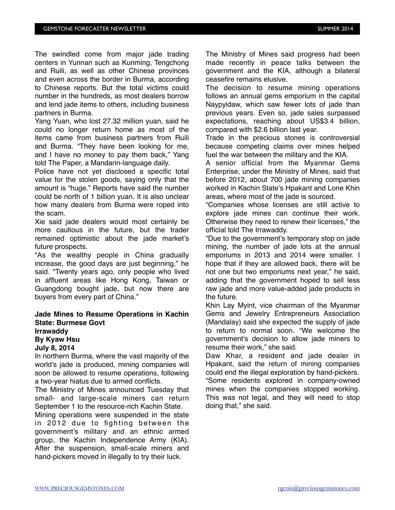The swindled come from major jade trading centers in Yunnan such as Kunming, Tengchong and Ruili, as well as other Chinese provinces and even across the border in Burma, according to Chinese reports. But the total victims could number in the hundreds, as most dealers borrow and lend jade items to others, including business partners in Burma.

Yang Yuan, who lost 27.32 million yuan, said he could no longer return home as most of the items came from business partners from Ruili and Burma. "They have been looking for me, and I have no money to pay them back," Yang told The Paper, a Mandarin-language daily.

Police have not yet disclosed a specific total value for the stolen goods, saying only that the amount is "huge." Reports have said the number could be north of 1 billion yuan. It is also unclear how many dealers from Burma were roped into the scam.

Xie said jade dealers would most certainly be more cautious in the future, but the trader remained optimistic about the jade market's future prospects.

"As the wealthy people in China gradually increase, the good days are just beginning," he said. "Twenty years ago, only people who lived in affluent areas like Hong Kong, Taiwan or Guangdong bought jade, but now there are buyers from every part of China."

### **Jade Mines to Resume Operations in Kachin State: Burmese Govt Irrawaddy**

#### **By Kyaw Hsu July 8, 2014**

In northern Burma, where the vast majority of the world's jade is produced, mining companies will soon be allowed to resume operations, following a two-year hiatus due to armed conflicts.

The Ministry of Mines announced Tuesday that small- and large-scale miners can return September 1 to the resource-rich Kachin State.

Mining operations were suspended in the state in 2012 due to fighting between the government's military and an ethnic armed group, the Kachin Independence Army (KIA). After the suspension, small-scale miners and hand-pickers moved in illegally to try their luck.

The Ministry of Mines said progress had been made recently in peace talks between the government and the KIA, although a bilateral ceasefire remains elusive.

The decision to resume mining operations follows an annual gems emporium in the capital Naypyidaw, which saw fewer lots of jade than previous years. Even so, jade sales surpassed expectations, reaching about US\$3.4 billion, compared with \$2.6 billion last year.

Trade in the precious stones is controversial because competing claims over mines helped fuel the war between the military and the KIA.

A senior official from the Myanmar Gems Enterprise, under the Ministry of Mines, said that before 2012, about 700 jade mining companies worked in Kachin State's Hpakant and Lone Khin areas, where most of the jade is sourced.

"Companies whose licenses are still active to explore jade mines can continue their work. Otherwise they need to renew their licenses," the official told The Irrawaddy.

"Due to the government's temporary stop on jade mining, the number of jade lots at the annual emporiums in 2013 and 2014 were smaller. I hope that if they are allowed back, there will be not one but two emporiums next year," he said, adding that the government hoped to sell less raw jade and more value-added jade products in the future.

Khin Lay Myint, vice chairman of the Myanmar Gems and Jewelry Entrepreneurs Association (Mandalay) said she expected the supply of jade to return to normal soon. "We welcome the government's decision to allow jade miners to resume their work," she said.

Daw Khar, a resident and jade dealer in Hpakant, said the return of mining companies could end the illegal exploration by hand-pickers. "Some residents explored in company-owned mines when the companies stopped working. This was not legal, and they will need to stop doing that," she said.